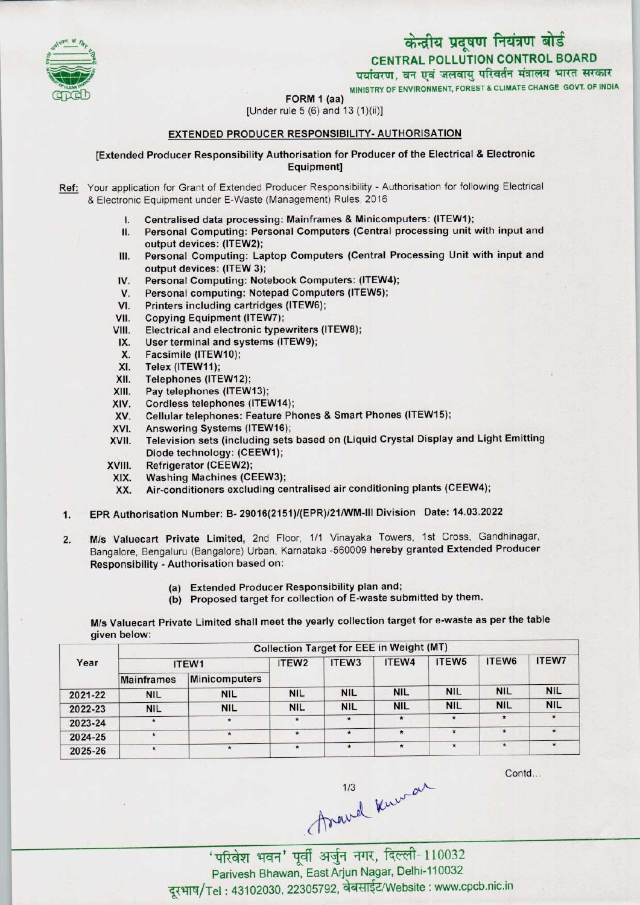

MINISTRY OF ENVIRONMENT, FOREST & CLIMATE CHANGE GOVT. OF INDIA

FORM 1 (aa)



[Under rule 5 (6) and 13 (1)(ii)]

# EXTENDED PRODUCER RESPONSIBILITY- AUTHORISATION

### [Extended Producer Responsibility Authorisation for Producer ofthe Electrical & Electronic Equipment]

- Ref: Your application for Grant of Extended Producer Responsibility Authorisation for following Electrical & Electronic Equipment under E-Waste (Management) Rules, 2016
	- I. Centralised data processing: Mainframes & Minicomputers: (ITEW1);
	- II. Personal Computing: Personal Computers (Central processing unit with input and output devices: (ITEW2);
	- III. Personal Computing: Laptop Computers (Central Processing Unit with input and output devices: (ITEW 3); III. Personal Computing: Laptop Computers (Central Protection<br>IV. Personal Computing: Notebook Computers: (ITEW4);<br>M. Personal computing: Notebook Computers (ITEW5);
	- Surput devices: (ITEW 3);<br>V. Personal Computing: Notebook Computers: (ITEW<br>V. Personal computing: Notepad Computers (ITEW5);<br>I. Printers including contriduce (ITEW6);
	- IV. Personal Computing: Notebook Computers: (ITEW4<br>V. Personal computing: Notepad Computers (ITEW5);<br>VI. Printers including cartridges (ITEW6);<br>VII. Copying Equipment (ITEW7);
	-
	- VII. Copying Equipment (ITEW7);<br>VIII. Electrical and electronic type
	- VI. Printers including cartridges (ITEW6);<br>VII. Copying Equipment (ITEW7);<br>VIII. Electrical and electronic typewriters (ITEW8);<br>IX. Hear terminal and evetems (ITEW9); VII. Copying Equipment (ITEW7);<br>III. Electrical and electronic typewriters<br>IX. User terminal and systems (ITEW9);
	- IX. User terminal and systems (ITEW9);<br>X. Facsimile (ITEW10);<br>XI. Telex (ITEW11);
	-
	-
	- XI. Telex (ITEW11);<br>XII. Telephones (ITE
	- XII. Telephones (ITEW12);<br>XIII. Pay telephones (ITEW
	- XIII. Pay telephones (ITEW13);<br>XIV. Cordless telephones (ITEV XIV. Cordless telephones (ITEW14);<br>XV. Cellular telephones: Feature Ph
	- XV. Cellular telephones: Feature Phones & Smart Phones (ITEW15);<br>XVI. Answering Systems (ITEW16);
	-
	- XVI. Answering Systems (ITEW16);<br>XVII. Television sets (including sets Television sets (including sets based on (Liquid Crystal Display and Light Emitting Diode technology: (CEEW1);
	-
	- XVIII. Refrigerator (CEEW2);<br>XIX. Washing Machines (CI
		- XIX. Washing Machines (CEEW3);<br>XX. Air-conditioners excluding ce Air-conditioners excluding centralised air conditioning plants (CEEW4);
- 1.EPR Authorisation Number: B- 29016(2151)/(EPR)/21/WM-lll Division Date: 14.03.2022
- 2. M/s Valuecart Private Limited, 2nd Floor, 1/1 Vinayaka Towers, 1st Cross, Gandhinagar, Bangalore, Bengaluru (Bangalore) Urban, Karnataka -560009 hereby granted Extended Producer Responsibility - Authorisation based on:
	- (a)Extended Producer Responsibility plan and;
	- (b) Proposed target for collection of E-waste submitted by them.

M/s Valuecart Private Limited shall meet the yearly collection target for e-waste as per the table given below:

| Year    | <b>Collection Target for EEE in Weight (MT)</b> |                      |                   |            |            |                   |            |              |  |
|---------|-------------------------------------------------|----------------------|-------------------|------------|------------|-------------------|------------|--------------|--|
|         | ITEW1                                           |                      | ITEW <sub>2</sub> | ITEW3      | ITEW4      | ITEW <sub>5</sub> | ITEW6      | <b>ITEW7</b> |  |
|         | <b>Mainframes</b>                               | <b>Minicomputers</b> |                   |            |            |                   |            |              |  |
| 2021-22 | <b>NIL</b>                                      | <b>NIL</b>           | <b>NIL</b>        | <b>NIL</b> | <b>NIL</b> | <b>NIL</b>        | <b>NIL</b> | <b>NIL</b>   |  |
| 2022-23 | <b>NIL</b>                                      | <b>NIL</b>           | <b>NIL</b>        | <b>NIL</b> | <b>NIL</b> | <b>NIL</b>        | <b>NIL</b> | <b>NIL</b>   |  |
| 2023-24 | $\star$                                         | $\star$              | $\star$           | $\star$    | $\star$    | $\star$           | $\star$    | ۰            |  |
| 2024-25 |                                                 | $\star$              | $\star$           |            | $\star$    | $\pmb{\ast}$      | $\star$    | $\star$      |  |
| 2025-26 |                                                 | $\star$              | $\star$           |            | $\star$    | $\star$           | $\star$    | $*$          |  |

Contd...

 $$\frac{1}{3}$$ 'परिवेश भवन' पूर्वी अर्जुन नगर, दिल्ली-110032

Parivesh Bhawan, East Arjun Nagar, Delhi-110032 दूरभाष/Tel: 43102030, 22305792, वेबसाईट/Website : www.cpcb.nic.in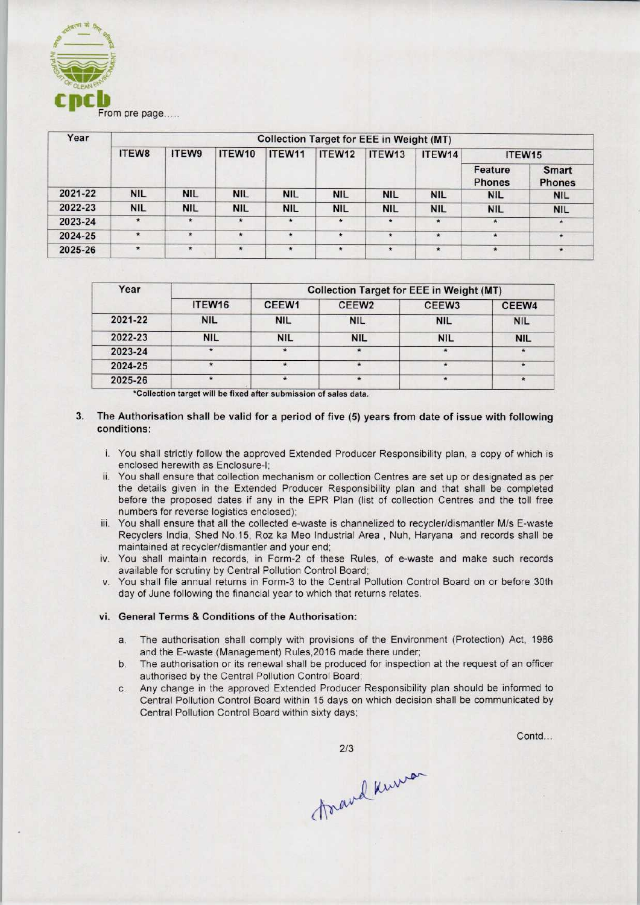

| Year    | <b>Collection Target for EEE in Weight (MT)</b> |            |            |            |            |            |            |                          |                               |  |
|---------|-------------------------------------------------|------------|------------|------------|------------|------------|------------|--------------------------|-------------------------------|--|
|         | <b>ITEW8</b>                                    | ITEW9      | ITEW10     | ITEW11     | ITEW12     | ITEW13     | ITEW14     | ITEW <sub>15</sub>       |                               |  |
|         |                                                 |            |            |            |            |            |            | Feature<br><b>Phones</b> | <b>Smart</b><br><b>Phones</b> |  |
| 2021-22 | <b>NIL</b>                                      | <b>NIL</b> | <b>NIL</b> | <b>NIL</b> | <b>NIL</b> | <b>NIL</b> | <b>NIL</b> | <b>NIL</b>               | <b>NIL</b>                    |  |
| 2022-23 | <b>NIL</b>                                      | <b>NIL</b> | <b>NIL</b> | <b>NIL</b> | <b>NIL</b> | <b>NIL</b> | <b>NIL</b> | <b>NIL</b>               | <b>NIL</b>                    |  |
| 2023-24 | $\star$                                         | $\star$    | $\star$    | $\star$    | $\star$    | $\star$    | $\star$    | $\star$                  | $\star$                       |  |
| 2024-25 | $\star$                                         | $\star$    | $\star$    | $\star$    | $\star$    | $\star$    | $\star$    | $\star$                  | $\star$                       |  |
| 2025-26 | $\star$                                         | $\star$    | $\star$    | $\star$    | $\star$    | $\star$    | $\star$    | $\star$                  | $\star$                       |  |

| Year    |               | <b>Collection Target for EEE in Weight (MT)</b> |                   |                   |            |  |  |  |
|---------|---------------|-------------------------------------------------|-------------------|-------------------|------------|--|--|--|
|         | ITEW16        | CEEW1                                           | CEEW <sub>2</sub> | CEEW <sub>3</sub> | CEEW4      |  |  |  |
| 2021-22 | <b>NIL</b>    | <b>NIL</b>                                      | <b>NIL</b>        | <b>NIL</b>        | <b>NIL</b> |  |  |  |
| 2022-23 | <b>NIL</b>    | <b>NIL</b>                                      | <b>NIL</b>        | <b>NIL</b>        | <b>NIL</b> |  |  |  |
| 2023-24 | $\rightarrow$ |                                                 |                   |                   |            |  |  |  |
| 2024-25 |               |                                                 |                   |                   |            |  |  |  |
| 2025-26 |               |                                                 |                   |                   | $\star$    |  |  |  |

\*Collection target will be fixed after submission of sales data.

- 3. The Authorisation shall be valid for a period of five (5) years from date of issue with following conditions:
	- i. You shall strictly follow the approved Extended Producer Responsibility plan, a copy of which is enclosed herewith as Enclosure-I;
	- ii. You shall ensure that collection mechanism or collection Centres are set up or designated as per the details given in the Extended Producer Responsibility plan and that shall be completed before the proposed dates if any in the EPR Plan {list of collection Centres and the toll free numbers for reverse logistics enclosed);
	- iii. You shall ensure that all the collected e-waste is channelized to recycler/dismantler M/s E-waste Recyclers India, Shed No. 15, Roz ka Meo Industrial Area , Nuh, Haryana and records shall be maintained at recycler/dismantler and your end;
	- iv. You shall maintain records, in Form-2 of these Rules, of e-waste and make such records available for scrutiny by Central Pollution Control Board;
	- v. You shall file annual returns in Form-3 to the Central Pollution Control Board on or before 30th day of June following the financial year to which that returns relates.

#### vi. General Terms & Conditions of the Authorisation:

- a.The authorisation shall comply with provisions of the Environment (Protection) Act, <sup>1986</sup> and the E-waste (Management) Rules,2016 made there under;
- b.The authorisation or its renewal shall be produced for inspection at the request of an officer authorised by the Central Pollution Control Board;
- c.Any change in the approved Extended Producer Responsibility plan should be informed to Central Pollution Control Board within 15 days on which decision shall be communicated by Central Pollution Control Board within sixty days;

 $2/3$ 

Contd...

forand knew